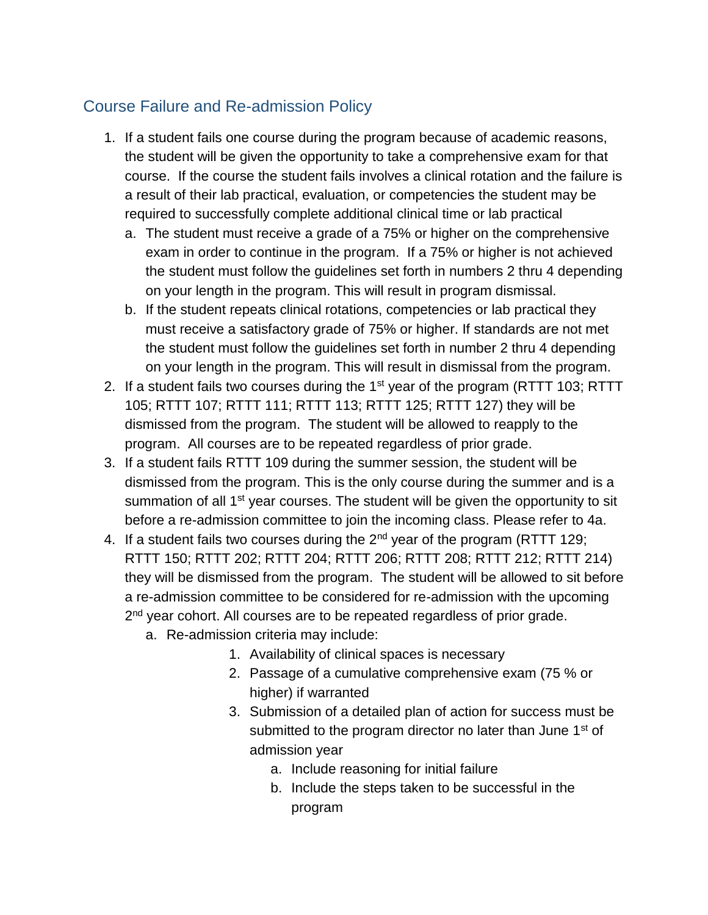## Course Failure and Re-admission Policy

- 1. If a student fails one course during the program because of academic reasons, the student will be given the opportunity to take a comprehensive exam for that course. If the course the student fails involves a clinical rotation and the failure is a result of their lab practical, evaluation, or competencies the student may be required to successfully complete additional clinical time or lab practical
	- a. The student must receive a grade of a 75% or higher on the comprehensive exam in order to continue in the program. If a 75% or higher is not achieved the student must follow the guidelines set forth in numbers 2 thru 4 depending on your length in the program. This will result in program dismissal.
	- b. If the student repeats clinical rotations, competencies or lab practical they must receive a satisfactory grade of 75% or higher. If standards are not met the student must follow the guidelines set forth in number 2 thru 4 depending on your length in the program. This will result in dismissal from the program.
- 2. If a student fails two courses during the  $1<sup>st</sup>$  year of the program (RTTT 103; RTTT 105; RTTT 107; RTTT 111; RTTT 113; RTTT 125; RTTT 127) they will be dismissed from the program. The student will be allowed to reapply to the program. All courses are to be repeated regardless of prior grade.
- 3. If a student fails RTTT 109 during the summer session, the student will be dismissed from the program. This is the only course during the summer and is a summation of all 1<sup>st</sup> year courses. The student will be given the opportunity to sit before a re-admission committee to join the incoming class. Please refer to 4a.
- 4. If a student fails two courses during the  $2<sup>nd</sup>$  year of the program (RTTT 129; RTTT 150; RTTT 202; RTTT 204; RTTT 206; RTTT 208; RTTT 212; RTTT 214) they will be dismissed from the program. The student will be allowed to sit before a re-admission committee to be considered for re-admission with the upcoming 2<sup>nd</sup> year cohort. All courses are to be repeated regardless of prior grade.
	- a. Re-admission criteria may include:
		- 1. Availability of clinical spaces is necessary
		- 2. Passage of a cumulative comprehensive exam (75 % or higher) if warranted
		- 3. Submission of a detailed plan of action for success must be submitted to the program director no later than June 1<sup>st</sup> of admission year
			- a. Include reasoning for initial failure
			- b. Include the steps taken to be successful in the program